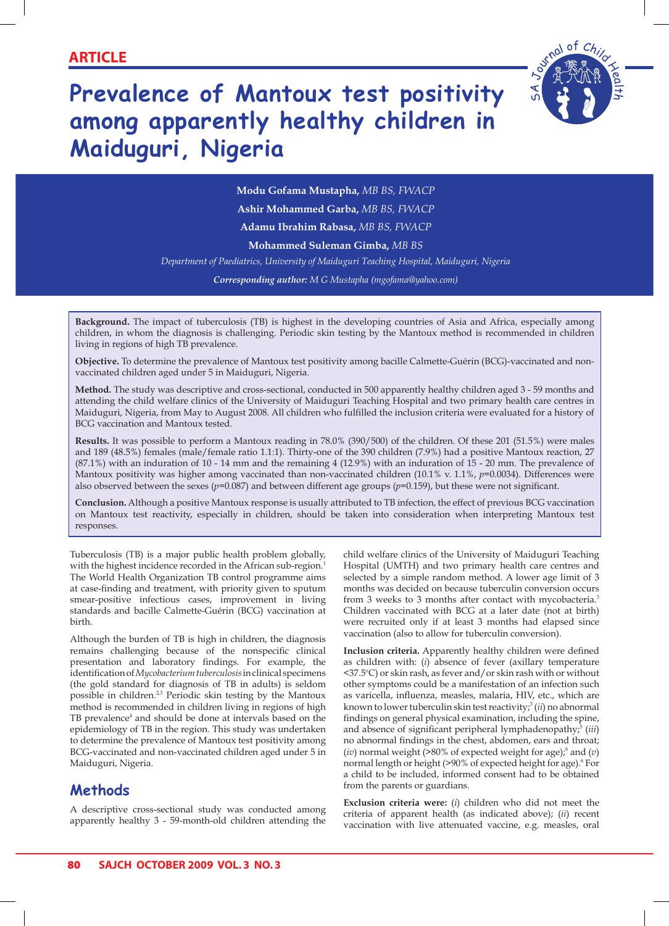# **Prevalence of Mantoux test positivity among apparently healthy children in Maiduguri, Nigeria**



**Modu Gofama Mustapha,** *MB BS, FWACP* **Ashir Mohammed Garba,** *MB BS, FWACP*

**Adamu Ibrahim Rabasa,** *MB BS, FWACP*

**Mohammed Suleman Gimba,** *MB BS*

*Department of Paediatrics, University of Maiduguri Teaching Hospital, Maiduguri, Nigeria*

*Corresponding author: M G Mustapha (mgofama@yahoo.com)*

**Background.** The impact of tuberculosis (TB) is highest in the developing countries of Asia and Africa, especially among children, in whom the diagnosis is challenging. Periodic skin testing by the Mantoux method is recommended in children living in regions of high TB prevalence.

**Objective.** To determine the prevalence of Mantoux test positivity among bacille Calmette-Guérin (BCG)-vaccinated and nonvaccinated children aged under 5 in Maiduguri, Nigeria.

**Method.** The study was descriptive and cross-sectional, conducted in 500 apparently healthy children aged 3 - 59 months and attending the child welfare clinics of the University of Maiduguri Teaching Hospital and two primary health care centres in Maiduguri, Nigeria, from May to August 2008. All children who fulfilled the inclusion criteria were evaluated for a history of BCG vaccination and Mantoux tested.

**Results.** It was possible to perform a Mantoux reading in 78.0% (390/500) of the children. Of these 201 (51.5%) were males and 189 (48.5%) females (male/female ratio 1.1:1). Thirty-one of the 390 children (7.9%) had a positive Mantoux reaction, 27 (87.1%) with an induration of 10 - 14 mm and the remaining 4 (12.9%) with an induration of 15 - 20 mm. The prevalence of Mantoux positivity was higher among vaccinated than non-vaccinated children (10.1% v. 1.1%, *p*=0.0034). Differences were also observed between the sexes (*p*=0.087) and between different age groups (*p*=0.159), but these were not significant.

**Conclusion.** Although a positive Mantoux response is usually attributed to TB infection, the effect of previous BCG vaccination on Mantoux test reactivity, especially in children, should be taken into consideration when interpreting Mantoux test responses.

Tuberculosis (TB) is a major public health problem globally, with the highest incidence recorded in the African sub-region.<sup>1</sup> The World Health Organization TB control programme aims at case-finding and treatment, with priority given to sputum smear-positive infectious cases, improvement in living standards and bacille Calmette-Guérin (BCG) vaccination at birth.

Although the burden of TB is high in children, the diagnosis remains challenging because of the nonspecific clinical presentation and laboratory findings. For example, the identification of *Mycobacterium tuberculosis* in clinical specimens (the gold standard for diagnosis of TB in adults) is seldom possible in children.<sup>2,3</sup> Periodic skin testing by the Mantoux method is recommended in children living in regions of high TB prevalence<sup>4</sup> and should be done at intervals based on the epidemiology of TB in the region. This study was undertaken to determine the prevalence of Mantoux test positivity among BCG-vaccinated and non-vaccinated children aged under 5 in Maiduguri, Nigeria.

## **Methods**

A descriptive cross-sectional study was conducted among apparently healthy 3 - 59-month-old children attending the child welfare clinics of the University of Maiduguri Teaching Hospital (UMTH) and two primary health care centres and selected by a simple random method. A lower age limit of 3 months was decided on because tuberculin conversion occurs from 3 weeks to 3 months after contact with mycobacteria.<sup>3</sup> Children vaccinated with BCG at a later date (not at birth) were recruited only if at least 3 months had elapsed since vaccination (also to allow for tuberculin conversion).

**Inclusion criteria.** Apparently healthy children were defined as children with: (*i*) absence of fever (axillary temperature <37.5°C) or skin rash, as fever and/or skin rash with or without other symptoms could be a manifestation of an infection such as varicella, influenza, measles, malaria, HIV, etc., which are known to lower tuberculin skin test reactivity;<sup>3</sup> (*ii*) no abnormal findings on general physical examination, including the spine, and absence of significant peripheral lymphadenopathy;<sup>5</sup> (*iii*) no abnormal findings in the chest, abdomen, ears and throat; (*iv*) normal weight (>80% of expected weight for age);<sup>6</sup> and (*v*) normal length or height (>90% of expected height for age).<sup>6</sup> For a child to be included, informed consent had to be obtained from the parents or guardians.

**Exclusion criteria were:** (*i*) children who did not meet the criteria of apparent health (as indicated above); (*ii*) recent vaccination with live attenuated vaccine, e.g. measles, oral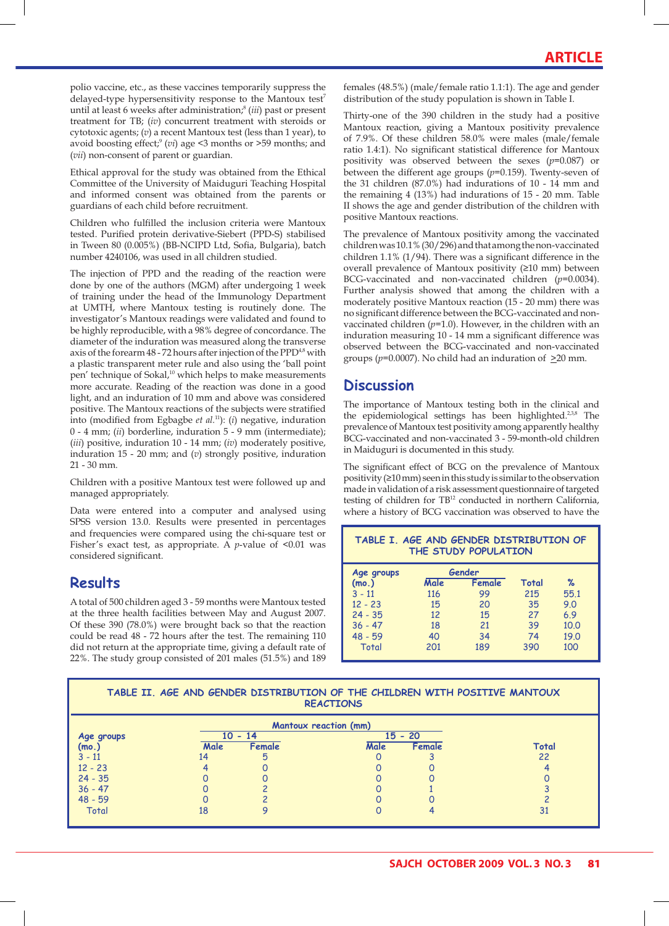polio vaccine, etc., as these vaccines temporarily suppress the delayed-type hypersensitivity response to the Mantoux test<sup>7</sup> until at least 6 weeks after administration;8 (*iii*) past or present treatment for TB; (*iv*) concurrent treatment with steroids or cytotoxic agents; (*v*) a recent Mantoux test (less than 1 year), to avoid boosting effect;<sup>9</sup> (*vi*) age <3 months or >59 months; and (*vii*) non-consent of parent or guardian.

Ethical approval for the study was obtained from the Ethical Committee of the University of Maiduguri Teaching Hospital and informed consent was obtained from the parents or guardians of each child before recruitment.

Children who fulfilled the inclusion criteria were Mantoux tested. Purified protein derivative-Siebert (PPD-S) stabilised in Tween 80 (0.005%) (BB-NCIPD Ltd, Sofia, Bulgaria), batch number 4240106, was used in all children studied.

The injection of PPD and the reading of the reaction were done by one of the authors (MGM) after undergoing 1 week of training under the head of the Immunology Department at UMTH, where Mantoux testing is routinely done. The investigator's Mantoux readings were validated and found to be highly reproducible, with a 98% degree of concordance. The diameter of the induration was measured along the transverse axis of the forearm  $48$  - 72 hours after injection of the PPD<sup>48</sup> with a plastic transparent meter rule and also using the 'ball point pen' technique of Sokal,<sup>10</sup> which helps to make measurements more accurate. Reading of the reaction was done in a good light, and an induration of 10 mm and above was considered positive. The Mantoux reactions of the subjects were stratified into (modified from Egbagbe *et al.*11): (*i*) negative, induration 0 - 4 mm; (*ii*) borderline, induration 5 - 9 mm (intermediate); (*iii*) positive, induration 10 - 14 mm; (*iv*) moderately positive, induration 15 - 20 mm; and (*v*) strongly positive, induration 21 - 30 mm.

Children with a positive Mantoux test were followed up and managed appropriately.

Data were entered into a computer and analysed using SPSS version 13.0. Results were presented in percentages and frequencies were compared using the chi-square test or Fisher's exact test, as appropriate. A *p*-value of <0.01 was considered significant.

# **Results**

A total of 500 children aged 3 - 59 months were Mantoux tested at the three health facilities between May and August 2007. Of these 390 (78.0%) were brought back so that the reaction could be read 48 - 72 hours after the test. The remaining 110 did not return at the appropriate time, giving a default rate of 22%. The study group consisted of 201 males (51.5%) and 189

females (48.5%) (male/female ratio 1.1:1). The age and gender distribution of the study population is shown in Table I.

Thirty-one of the 390 children in the study had a positive Mantoux reaction, giving a Mantoux positivity prevalence of 7.9%. Of these children 58.0% were males (male/female ratio 1.4:1). No significant statistical difference for Mantoux positivity was observed between the sexes (*p*=0.087) or between the different age groups (*p*=0.159). Twenty-seven of the 31 children (87.0%) had indurations of 10 - 14 mm and the remaining 4 (13%) had indurations of 15 - 20 mm. Table II shows the age and gender distribution of the children with positive Mantoux reactions.

The prevalence of Mantoux positivity among the vaccinated children was 10.1% (30/296) and that among the non-vaccinated children 1.1% (1/94). There was a significant difference in the overall prevalence of Mantoux positivity (≥10 mm) between BCG-vaccinated and non-vaccinated children (*p*=0.0034). Further analysis showed that among the children with a moderately positive Mantoux reaction (15 - 20 mm) there was no significant difference between the BCG-vaccinated and nonvaccinated children  $(p=1.0)$ . However, in the children with an induration measuring 10 - 14 mm a significant difference was observed between the BCG-vaccinated and non-vaccinated groups (*p*=0.0007). No child had an induration of >20 mm.

# **Discussion**

The importance of Mantoux testing both in the clinical and the epidemiological settings has been highlighted.<sup>2,3,8</sup> The prevalence of Mantoux test positivity among apparently healthy BCG-vaccinated and non-vaccinated 3 - 59-month-old children in Maiduguri is documented in this study.

The significant effect of BCG on the prevalence of Mantoux positivity (≥10 mm) seen in this study is similar to the observation made in validation of a risk assessment questionnaire of targeted testing of children for TB<sup>12</sup> conducted in northern California, where a history of BCG vaccination was observed to have the

### **TABLE I. AGE AND GENDER DISTRIBUTION OF THE STUDY POPULATION**

| Age groups |      | Gender |       |      |  |
|------------|------|--------|-------|------|--|
| (mo.)      | Male | Female | Total | ℅    |  |
| $3 - 11$   | 116  | 99     | 215   | 55.1 |  |
| $12 - 23$  | 15   | 20     | 35    | 9.0  |  |
| $24 - 35$  | 12   | 15     | 27    | 6.9  |  |
| $36 - 47$  | 18   | 21     | 39    | 10.0 |  |
| $48 - 59$  | 40   | 34     | 74    | 19.0 |  |
| Total      | 201  | 189    | 390   | 100  |  |
|            |      |        |       |      |  |

#### **TABLE II. AGE AND GENDER DISTRIBUTION OF THE CHILDREN WITH POSITIVE MANTOUX REACTIONS**

|              |           | <b>Mantoux reaction (mm)</b> |           |        |       |  |
|--------------|-----------|------------------------------|-----------|--------|-------|--|
| Age groups   | $10 - 14$ |                              | $15 - 20$ |        |       |  |
| (mo.)        | Male      | Female                       | Male      | Female | Total |  |
| $3 - 11$     | 14        | 5                            |           |        | 22    |  |
| $12 - 23$    |           |                              |           |        |       |  |
| $24 - 35$    |           |                              |           |        |       |  |
| $36 - 47$    |           |                              |           |        |       |  |
| $48 - 59$    |           |                              |           |        |       |  |
| <b>Total</b> | 18        |                              |           |        | 31    |  |